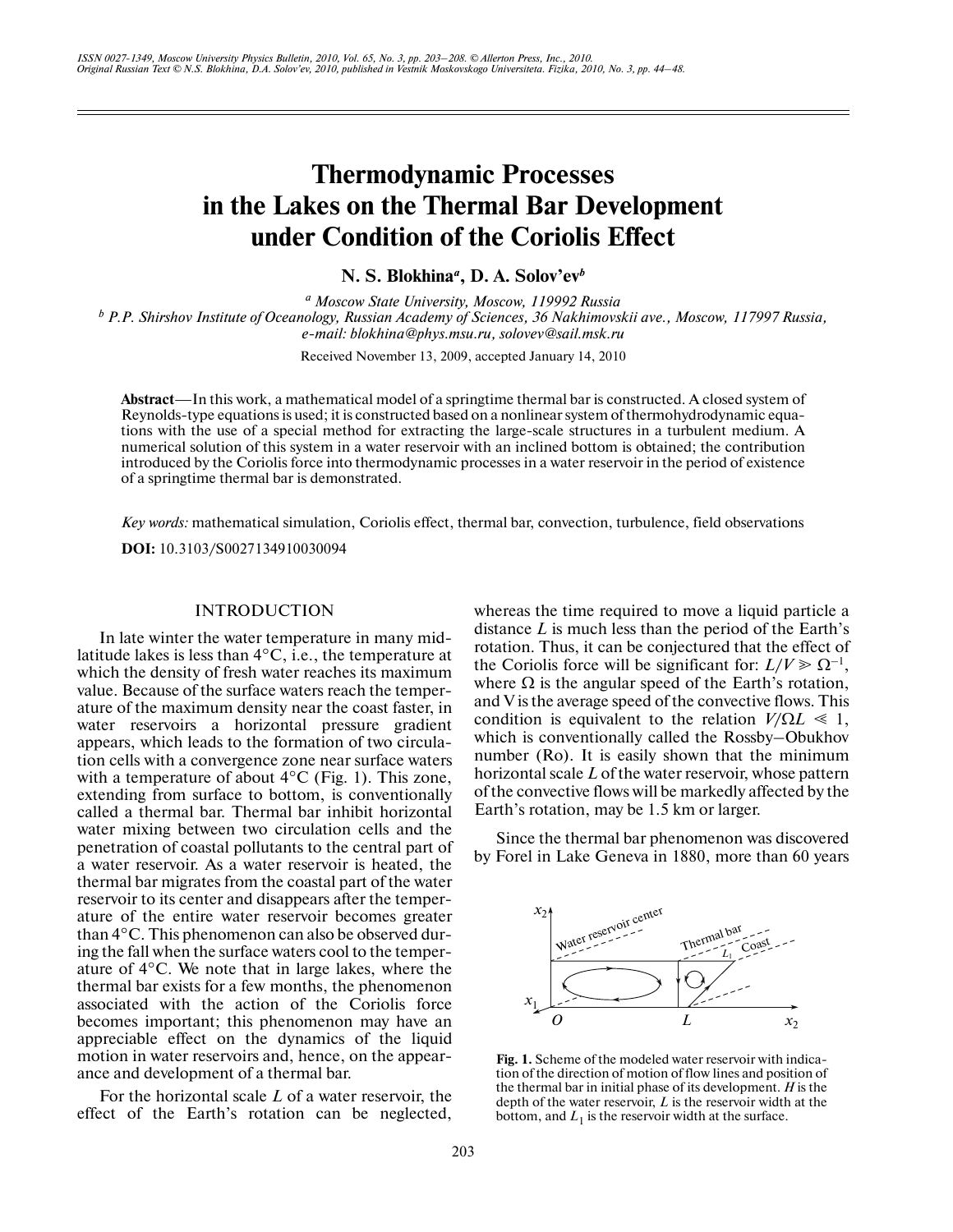# **Thermodynamic Processes in the Lakes on the Thermal Bar Development under Condition of the Coriolis Effect**

**N. S. Blokhina***<sup>a</sup>* **, D. A. Solov'ev***<sup>b</sup>*

<sup>*a*</sup> Moscow State University, Moscow, 119992 Russia  *Moscow State University, Moscow, 119992 Russia <sup>b</sup> P.P. Shirshov Institute of Oceanology, Russian Academy of Sciences, 36 Nakhimovskii ave., Moscow, 117997 Russia, e-mail: blokhina@phys.msu.ru, solovev@sail.msk.ru*

Received November 13, 2009, accepted January 14, 2010

**Abstract**—In this work, a mathematical model of a springtime thermal bar is constructed. A closed system of Reynolds-type equations is used; it is constructed based on a nonlinear system of thermohydrodynamic equa tions with the use of a special method for extracting the large-scale structures in a turbulent medium. A numerical solution of this system in a water reservoir with an inclined bottom is obtained; the contribution introduced by the Coriolis force into thermodynamic processes in a water reservoir in the period of existence of a springtime thermal bar is demonstrated.

*Key words:* mathematical simulation, Coriolis effect, thermal bar, convection, turbulence, field observations **DOI:** 10.3103/S0027134910030094

### INTRODUCTION

In late winter the water temperature in many mid latitude lakes is less than 4°C, i.e., the temperature at which the density of fresh water reaches its maximum value. Because of the surface waters reach the temper ature of the maximum density near the coast faster, in water reservoirs a horizontal pressure gradient appears, which leads to the formation of two circula tion cells with a convergence zone near surface waters with a temperature of about  $4^{\circ}$ C (Fig. 1). This zone, extending from surface to bottom, is conventionally called a thermal bar. Thermal bar inhibit horizontal water mixing between two circulation cells and the penetration of coastal pollutants to the central part of a water reservoir. As a water reservoir is heated, the thermal bar migrates from the coastal part of the water reservoir to its center and disappears after the temper ature of the entire water reservoir becomes greater than 4°C. This phenomenon can also be observed dur ing the fall when the surface waters cool to the temper ature of 4°C. We note that in large lakes, where the thermal bar exists for a few months, the phenomenon associated with the action of the Coriolis force becomes important; this phenomenon may have an appreciable effect on the dynamics of the liquid motion in water reservoirs and, hence, on the appear ance and development of a thermal bar.

For the horizontal scale *L* of a water reservoir, the effect of the Earth's rotation can be neglected, whereas the time required to move a liquid particle a distance *L* is much less than the period of the Earth's rotation. Thus, it can be conjectured that the effect of the Coriolis force will be significant for:  $L/V \ge \Omega^{-1}$ , where  $\Omega$  is the angular speed of the Earth's rotation, and V is the average speed of the convective flows. This condition is equivalent to the relation  $V/\Omega L \ll 1$ , which is conventionally called the Rossby–Obukhov number (Ro). It is easily shown that the minimum horizontal scale *L* of the water reservoir, whose pattern of the convective flows will be markedly affected by the Earth's rotation, may be 1.5 km or larger.

Since the thermal bar phenomenon was discovered by Forel in Lake Geneva in 1880, more than 60 years



**Fig. 1.** Scheme of the modeled water reservoir with indica tion of the direction of motion of flow lines and position of the thermal bar in initial phase of its development. *H* is the depth of the water reservoir, *L* is the reservoir width at the bottom, and  $L_1$  is the reservoir width at the surface.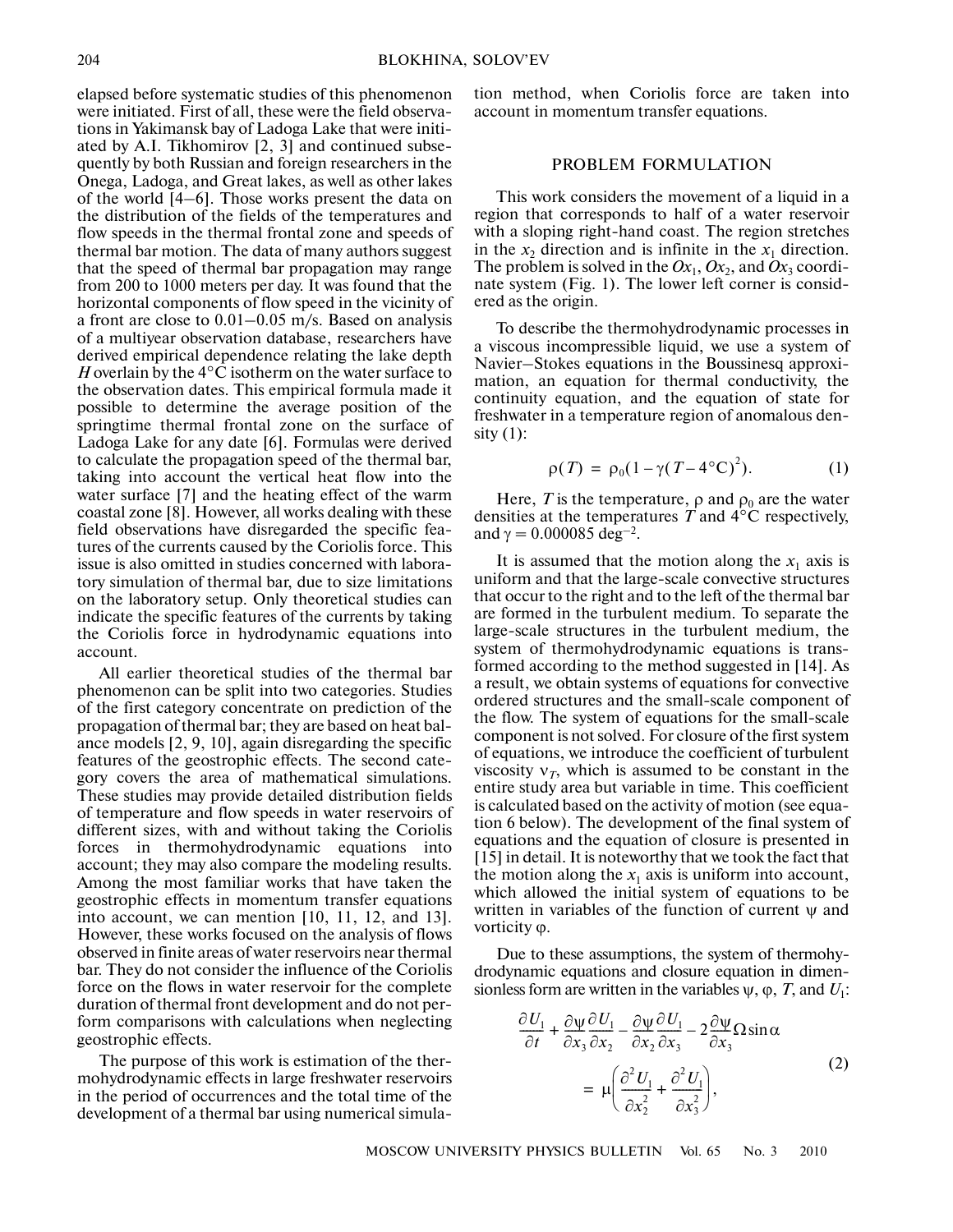elapsed before systematic studies of this phenomenon were initiated. First of all, these were the field observa tions in Yakimansk bay of Ladoga Lake that were initi ated by A.I. Tikhomirov [2, 3] and continued subse quently by both Russian and foreign researchers in the Onega, Ladoga, and Great lakes, as well as other lakes of the world [4–6]. Those works present the data on the distribution of the fields of the temperatures and flow speeds in the thermal frontal zone and speeds of thermal bar motion. The data of many authors suggest that the speed of thermal bar propagation may range from 200 to 1000 meters per day. It was found that the horizontal components of flow speed in the vicinity of a front are close to 0.01–0.05 m/s. Based on analysis of a multiyear observation database, researchers have derived empirical dependence relating the lake depth *H* overlain by the 4°C isotherm on the water surface to the observation dates. This empirical formula made it possible to determine the average position of the springtime thermal frontal zone on the surface of Ladoga Lake for any date [6]. Formulas were derived to calculate the propagation speed of the thermal bar, taking into account the vertical heat flow into the water surface [7] and the heating effect of the warm coastal zone [8]. However, all works dealing with these field observations have disregarded the specific fea tures of the currents caused by the Coriolis force. This issue is also omitted in studies concerned with labora tory simulation of thermal bar, due to size limitations on the laboratory setup. Only theoretical studies can indicate the specific features of the currents by taking the Coriolis force in hydrodynamic equations into account.

All earlier theoretical studies of the thermal bar phenomenon can be split into two categories. Studies of the first category concentrate on prediction of the propagation of thermal bar; they are based on heat bal ance models [2, 9, 10], again disregarding the specific features of the geostrophic effects. The second cate gory covers the area of mathematical simulations. These studies may provide detailed distribution fields of temperature and flow speeds in water reservoirs of different sizes, with and without taking the Coriolis forces in thermohydrodynamic equations into account; they may also compare the modeling results. Among the most familiar works that have taken the geostrophic effects in momentum transfer equations into account, we can mention [10, 11, 12, and 13]. However, these works focused on the analysis of flows observed in finite areas of water reservoirs near thermal bar. They do not consider the influence of the Coriolis force on the flows in water reservoir for the complete duration of thermal front development and do not per form comparisons with calculations when neglecting geostrophic effects.

The purpose of this work is estimation of the ther mohydrodynamic effects in large freshwater reservoirs in the period of occurrences and the total time of the development of a thermal bar using numerical simulation method, when Coriolis force are taken into account in momentum transfer equations.

## PROBLEM FORMULATION

This work considers the movement of a liquid in a region that corresponds to half of a water reservoir with a sloping right-hand coast. The region stretches in the  $x_2$  direction and is infinite in the  $x_1$  direction. The problem is solved in the  $Ox_1$ ,  $Ox_2$ , and  $Ox_3$  coordinate system (Fig. 1). The lower left corner is consid ered as the origin.

To describe the thermohydrodynamic processes in a viscous incompressible liquid, we use a system of Navier–Stokes equations in the Boussinesq approxi mation, an equation for thermal conductivity, the continuity equation, and the equation of state for freshwater in a temperature region of anomalous den sity  $(1)$ :

$$
\rho(T) = \rho_0 (1 - \gamma (T - 4^{\circ}C)^2). \tag{1}
$$

Here, T is the temperature,  $\rho$  and  $\rho_0$  are the water densities at the temperatures *T* and 4°C respectively, and  $\gamma = 0.000085 \text{ deg}^{-2}$ .

It is assumed that the motion along the  $x_1$  axis is uniform and that the large-scale convective structures that occur to the right and to the left of the thermal bar are formed in the turbulent medium. To separate the large-scale structures in the turbulent medium, the system of thermohydrodynamic equations is trans formed according to the method suggested in [14]. As a result, we obtain systems of equations for convective ordered structures and the small-scale component of the flow. The system of equations for the small-scale component is not solved. For closure of the first system of equations, we introduce the coefficient of turbulent viscosity  $v_T$ , which is assumed to be constant in the entire study area but variable in time. This coefficient is calculated based on the activity of motion (see equa tion 6 below). The development of the final system of equations and the equation of closure is presented in [15] in detail. It is noteworthy that we took the fact that the motion along the  $x_1$  axis is uniform into account, which allowed the initial system of equations to be written in variables of the function of current  $\psi$  and vorticity ϕ.

Due to these assumptions, the system of thermohy drodynamic equations and closure equation in dimen sionless form are written in the variables  $\psi$ ,  $\varphi$ , *T*, and *U*<sub>1</sub>:

$$
\frac{\partial U_1}{\partial t} + \frac{\partial \Psi}{\partial x_3} \frac{\partial U_1}{\partial x_2} - \frac{\partial \Psi}{\partial x_2} \frac{\partial U_1}{\partial x_3} - 2 \frac{\partial \Psi}{\partial x_3} \Omega \sin \alpha
$$
  

$$
= \mu \left( \frac{\partial^2 U_1}{\partial x_2^2} + \frac{\partial^2 U_1}{\partial x_3^2} \right),
$$
 (2)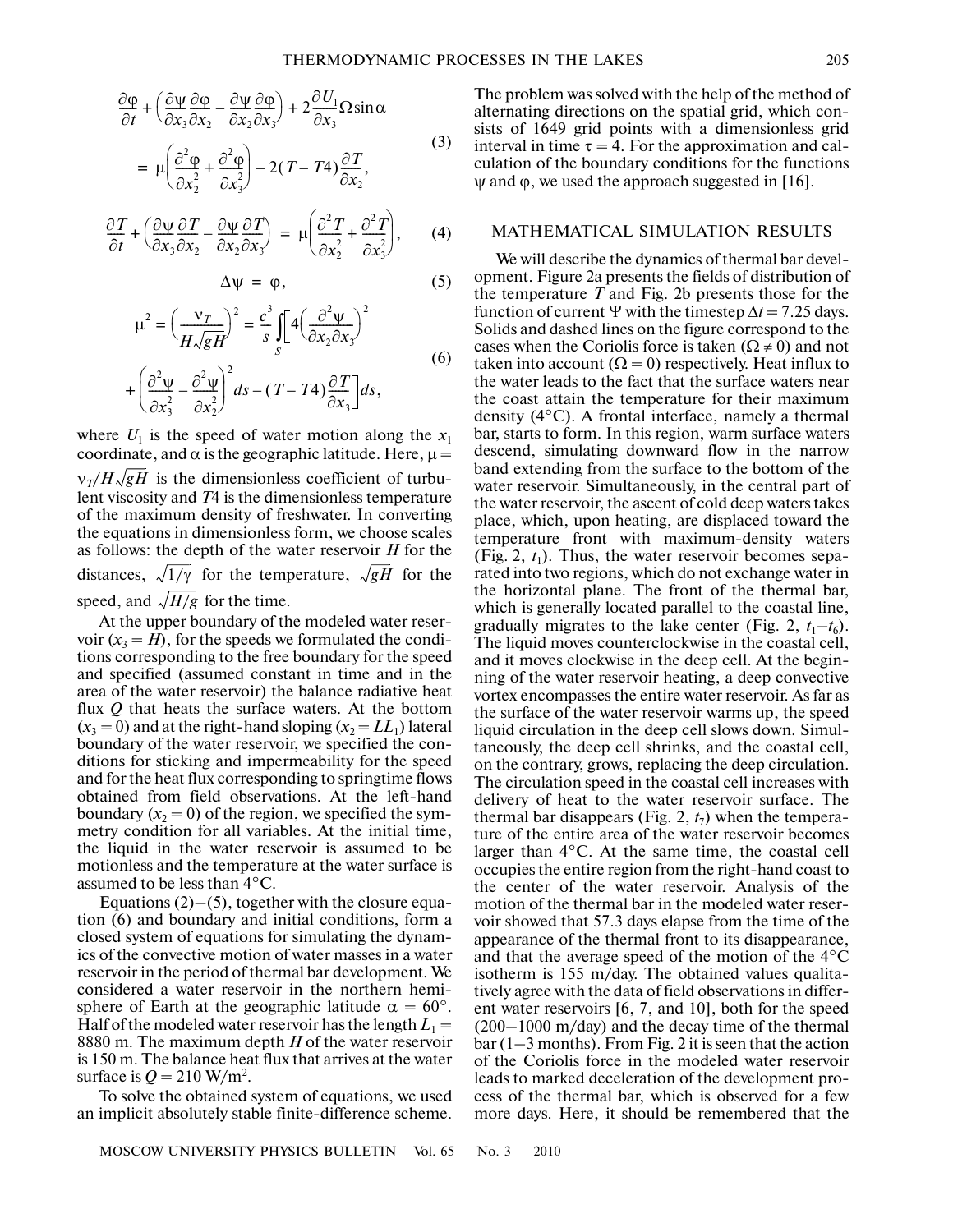$$
\frac{\partial \varphi}{\partial t} + \left( \frac{\partial \psi}{\partial x_3} \frac{\partial \varphi}{\partial x_2} - \frac{\partial \psi}{\partial x_2} \frac{\partial \varphi}{\partial x_3} \right) + 2 \frac{\partial U_1}{\partial x_3} \Omega \sin \alpha
$$
\n
$$
= \mu \left( \frac{\partial^2 \varphi}{\partial x_2^2} + \frac{\partial^2 \varphi}{\partial x_3^2} \right) - 2(T - T4) \frac{\partial T}{\partial x_2},
$$
\n(3)

$$
\frac{\partial T}{\partial t} + \left( \frac{\partial \Psi}{\partial x_3} \frac{\partial T}{\partial x_2} - \frac{\partial \Psi}{\partial x_2} \frac{\partial T}{\partial x_3} \right) = \mu \left( \frac{\partial^2 T}{\partial x_2^2} + \frac{\partial^2 T}{\partial x_3^2} \right), \qquad (4)
$$

$$
\Delta \psi = \varphi, \tag{5}
$$

$$
\mu^{2} = \left(\frac{v_{T}}{H\sqrt{gH}}\right)^{2} = \frac{c^{3}}{s} \int_{s}^{s} 4\left(\frac{\partial^{2} \psi}{\partial x_{2} \partial x_{3}}\right)^{2}
$$
\n
$$
\left(\frac{\partial^{2}}{\partial x_{1} \partial x_{2}}\right)^{2} = \frac{\partial^{2} \psi}{\partial x_{2} \partial x_{3}} \tag{6}
$$

$$
+\left(\frac{\partial^2 \psi}{\partial x_3^2} - \frac{\partial^2 \psi}{\partial x_2^2}\right)^2 ds - (T - T4) \frac{\partial T}{\partial x_3} ds,
$$

where  $U_1$  is the speed of water motion along the  $x_1$ coordinate, and  $\alpha$  is the geographic latitude. Here,  $\mu =$  $v_T/H\sqrt{gH}$  is the dimensionless coefficient of turbulent viscosity and *T*4 is the dimensionless temperature of the maximum density of freshwater. In converting the equations in dimensionless form, we choose scales as follows: the depth of the water reservoir *H* for the distances,  $\sqrt{1/\gamma}$  for the temperature,  $\sqrt{gH}$  for the speed, and  $\sqrt{H/g}$  for the time.

At the upper boundary of the modeled water reser voir  $(x_3 = H)$ , for the speeds we formulated the conditions corresponding to the free boundary for the speed and specified (assumed constant in time and in the area of the water reservoir) the balance radiative heat flux *Q* that heats the surface waters. At the bottom  $(x_3 = 0)$  and at the right-hand sloping  $(x_2 = LL_1)$  lateral boundary of the water reservoir, we specified the con ditions for sticking and impermeability for the speed and for the heat flux corresponding to springtime flows obtained from field observations. At the left-hand boundary  $(x_2 = 0)$  of the region, we specified the symmetry condition for all variables. At the initial time, the liquid in the water reservoir is assumed to be motionless and the temperature at the water surface is assumed to be less than 4°C.

Equations  $(2)$ – $(5)$ , together with the closure equation (6) and boundary and initial conditions, form a closed system of equations for simulating the dynam ics of the convective motion of water masses in a water reservoir in the period of thermal bar development. We considered a water reservoir in the northern hemi sphere of Earth at the geographic latitude  $\alpha = 60^{\circ}$ . Half of the modeled water reservoir has the length  $L_1 =$ 8880 m. The maximum depth *H* of the water reservoir is 150 m. The balance heat flux that arrives at the water surface is  $Q = 210$  W/m<sup>2</sup>.

To solve the obtained system of equations, we used an implicit absolutely stable finite-difference scheme.

The problem was solved with the help of the method of alternating directions on the spatial grid, which con sists of 1649 grid points with a dimensionless grid interval in time  $\tau = 4$ . For the approximation and calculation of the boundary conditions for the functions  $\psi$  and  $\varphi$ , we used the approach suggested in [16].

# MATHEMATICAL SIMULATION RESULTS

We will describe the dynamics of thermal bar devel opment. Figure 2a presents the fields of distribution of the temperature *T* and Fig. 2b presents those for the function of current Ψ with the timestep  $\Delta t = 7.25$  days. Solids and dashed lines on the figure correspond to the cases when the Coriolis force is taken ( $\Omega \neq 0$ ) and not taken into account  $(\Omega = 0)$  respectively. Heat influx to the water leads to the fact that the surface waters near the coast attain the temperature for their maximum density (4°C). A frontal interface, namely a thermal bar, starts to form. In this region, warm surface waters descend, simulating downward flow in the narrow band extending from the surface to the bottom of the water reservoir. Simultaneously, in the central part of the water reservoir, the ascent of cold deep waters takes place, which, upon heating, are displaced toward the temperature front with maximum-density waters (Fig. 2,  $t_1$ ). Thus, the water reservoir becomes separated into two regions, which do not exchange water in the horizontal plane. The front of the thermal bar, which is generally located parallel to the coastal line, gradually migrates to the lake center (Fig. 2,  $t_1-t_6$ ). The liquid moves counterclockwise in the coastal cell, and it moves clockwise in the deep cell. At the begin ning of the water reservoir heating, a deep convective vortex encompasses the entire water reservoir. As far as the surface of the water reservoir warms up, the speed liquid circulation in the deep cell slows down. Simul taneously, the deep cell shrinks, and the coastal cell, on the contrary, grows, replacing the deep circulation. The circulation speed in the coastal cell increases with delivery of heat to the water reservoir surface. The thermal bar disappears (Fig.  $2, t_7$ ) when the temperature of the entire area of the water reservoir becomes larger than 4°C. At the same time, the coastal cell occupies the entire region from the right-hand coast to the center of the water reservoir. Analysis of the motion of the thermal bar in the modeled water reser voir showed that 57.3 days elapse from the time of the appearance of the thermal front to its disappearance, and that the average speed of the motion of the 4°C isotherm is 155 m/day. The obtained values qualita tively agree with the data of field observations in differ ent water reservoirs [6, 7, and 10], both for the speed (200–1000 m/day) and the decay time of the thermal  $bar (1–3 months)$ . From Fig. 2 it is seen that the action of the Coriolis force in the modeled water reservoir leads to marked deceleration of the development pro cess of the thermal bar, which is observed for a few more days. Here, it should be remembered that the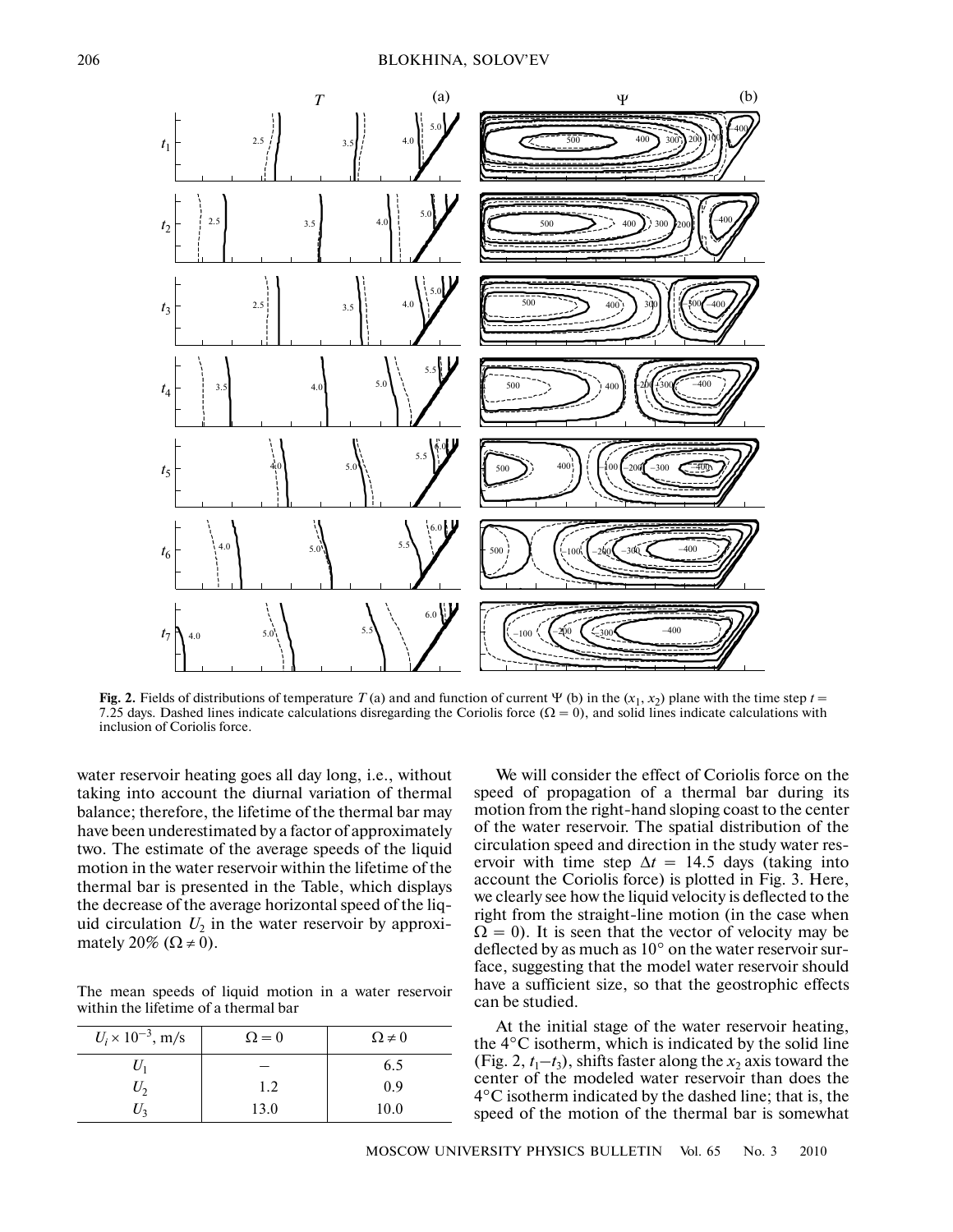

**Fig. 2.** Fields of distributions of temperature  $T$  (a) and and function of current  $\Psi$  (b) in the  $(x_1, x_2)$  plane with the time step  $t =$ 7.25 days. Dashed lines indicate calculations disregarding the Coriolis force ( $\Omega = 0$ ), and solid lines indicate calculations with inclusion of Coriolis force.

water reservoir heating goes all day long, i.e., without taking into account the diurnal variation of thermal balance; therefore, the lifetime of the thermal bar may have been underestimated by a factor of approximately two. The estimate of the average speeds of the liquid motion in the water reservoir within the lifetime of the thermal bar is presented in the Table, which displays the decrease of the average horizontal speed of the liq uid circulation  $U_2$  in the water reservoir by approximately 20% ( $\Omega \neq 0$ ).

The mean speeds of liquid motion in a water reservoir within the lifetime of a thermal bar

| $U_i \times 10^{-3}$ , m/s | $\Omega = 0$ | $\Omega \neq 0$ |
|----------------------------|--------------|-----------------|
| $U_1$                      |              | 6.5             |
| $U_2$                      | 1.2          | 0.9             |
| $U_3$                      | 13.0         | 10.0            |

We will consider the effect of Coriolis force on the speed of propagation of a thermal bar during its motion from the right-hand sloping coast to the center of the water reservoir. The spatial distribution of the circulation speed and direction in the study water res ervoir with time step  $\Delta t = 14.5$  days (taking into account the Coriolis force) is plotted in Fig. 3. Here, we clearly see how the liquid velocity is deflected to the right from the straight-line motion (in the case when  $\Omega = 0$ ). It is seen that the vector of velocity may be deflected by as much as  $10^{\circ}$  on the water reservoir surface, suggesting that the model water reservoir should have a sufficient size, so that the geostrophic effects can be studied.

At the initial stage of the water reservoir heating, the 4°C isotherm, which is indicated by the solid line (Fig. 2,  $t_1$ – $t_3$ ), shifts faster along the *x*<sub>2</sub> axis toward the center of the modeled water reservoir than does the 4°C isotherm indicated by the dashed line; that is, the speed of the motion of the thermal bar is somewhat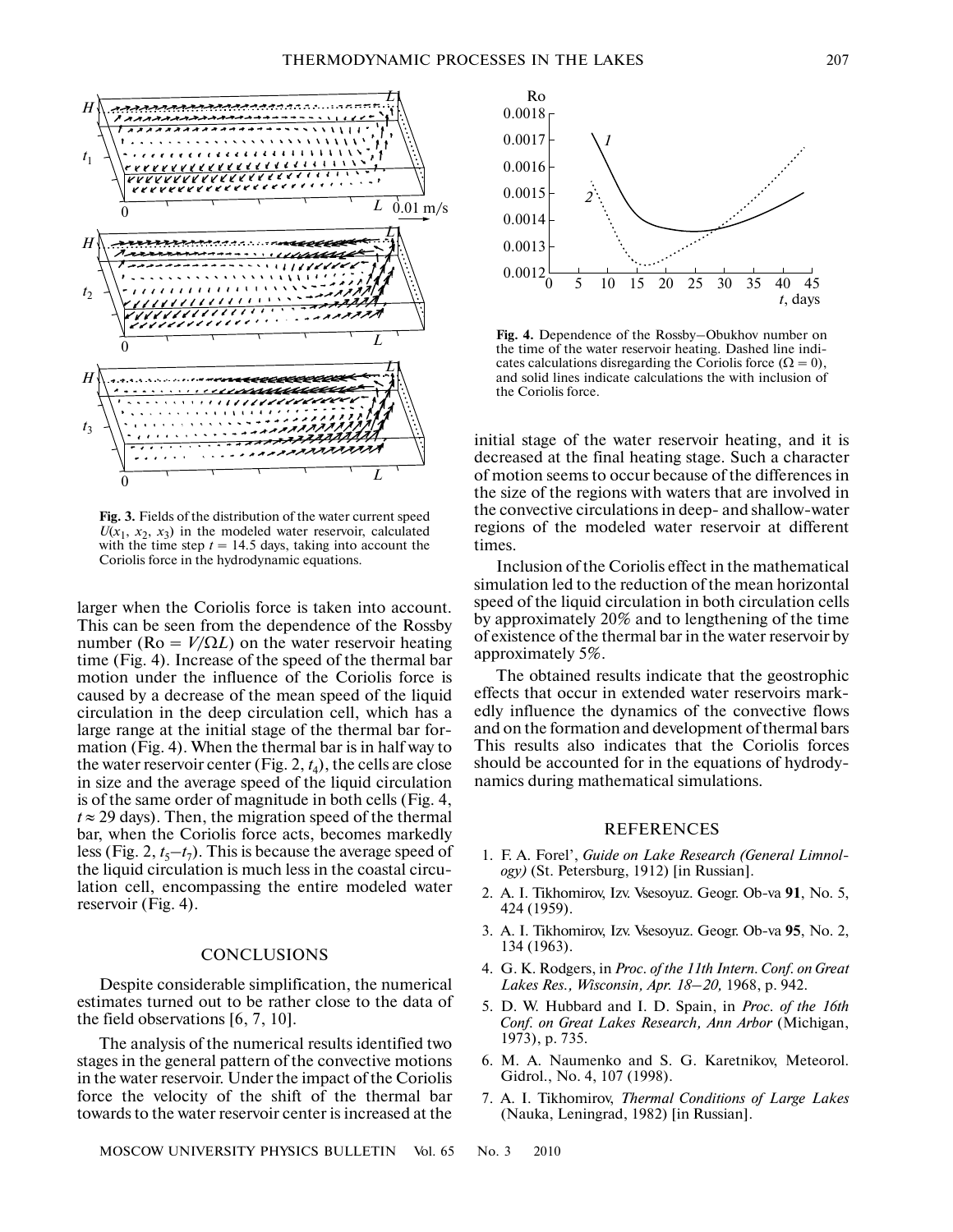

**Fig. 3.** Fields of the distribution of the water current speed  $U(x_1, x_2, x_3)$  in the modeled water reservoir, calculated with the time step  $t = 14.5$  days, taking into account the Coriolis force in the hydrodynamic equations.

larger when the Coriolis force is taken into account. This can be seen from the dependence of the Rossby number ( $\text{Ro} = V/\Omega L$ ) on the water reservoir heating time (Fig. 4). Increase of the speed of the thermal bar motion under the influence of the Coriolis force is caused by a decrease of the mean speed of the liquid circulation in the deep circulation cell, which has a large range at the initial stage of the thermal bar for mation (Fig. 4). When the thermal bar is in half way to the water reservoir center (Fig. 2,  $t_4$ ), the cells are close in size and the average speed of the liquid circulation is of the same order of magnitude in both cells (Fig. 4,  $t \approx 29$  days). Then, the migration speed of the thermal bar, when the Coriolis force acts, becomes markedly less (Fig. 2,  $t_5$ – $t_7$ ). This is because the average speed of the liquid circulation is much less in the coastal circu lation cell, encompassing the entire modeled water reservoir (Fig. 4).

## **CONCLUSIONS**

Despite considerable simplification, the numerical estimates turned out to be rather close to the data of the field observations [6, 7, 10].

The analysis of the numerical results identified two stages in the general pattern of the convective motions in the water reservoir. Under the impact of the Coriolis force the velocity of the shift of the thermal bar towards to the water reservoir center is increased at the



**Fig. 4.** Dependence of the Rossby–Obukhov number on the time of the water reservoir heating. Dashed line indi cates calculations disregarding the Coriolis force ( $\Omega = 0$ ), and solid lines indicate calculations the with inclusion of the Coriolis force.

initial stage of the water reservoir heating, and it is decreased at the final heating stage. Such a character of motion seems to occur because of the differences in the size of the regions with waters that are involved in the convective circulations in deep- and shallow-water regions of the modeled water reservoir at different times.

Inclusion of the Coriolis effect in the mathematical simulation led to the reduction of the mean horizontal speed of the liquid circulation in both circulation cells by approximately 20% and to lengthening of the time of existence of the thermal bar in the water reservoir by approximately 5%.

The obtained results indicate that the geostrophic effects that occur in extended water reservoirs mark edly influence the dynamics of the convective flows and on the formation and development of thermal bars This results also indicates that the Coriolis forces should be accounted for in the equations of hydrody namics during mathematical simulations.

#### REFERENCES

- 1. F. A. Forel', *Guide on Lake Research (General Limnol ogy)* (St. Petersburg, 1912) [in Russian].
- 2. A. I. Tikhomirov, Izv. Vsesoyuz. Geogr. Ob-va **91**, No. 5, 424 (1959).
- 3. A. I. Tikhomirov, Izv. Vsesoyuz. Geogr. Ob-va **95**, No. 2, 134 (1963).
- 4. G. K. Rodgers, in *Proc. of the 11th Intern. Conf. on Great Lakes Res., Wisconsin, Apr. 18–20,* 1968, p. 942.
- 5. D. W. Hubbard and I. D. Spain, in *Proc. of the 16th Conf. on Great Lakes Research, Ann Arbor* (Michigan, 1973), p. 735.
- 6. M. A. Naumenko and S. G. Karetnikov, Meteorol. Gidrol., No. 4, 107 (1998).
- 7. A. I. Tikhomirov, *Thermal Conditions of Large Lakes* (Nauka, Leningrad, 1982) [in Russian].